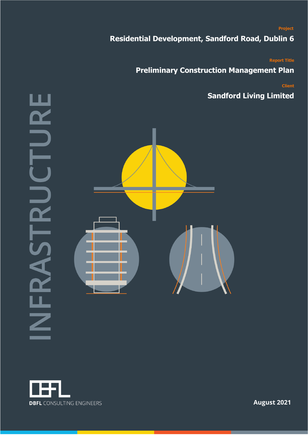#### **Project**

# **Residential Development, Sandford Road, Dublin 6**

**Report Title**

**Preliminary Construction Management Plan**

**Client**

**Sandford Living Limited**





**August 2021**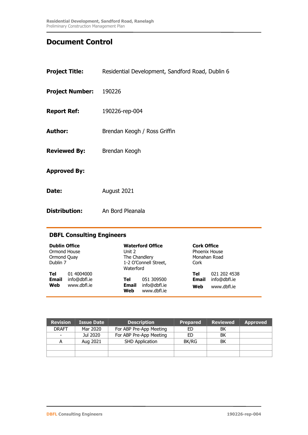# **Document Control**

| <b>Project Title:</b>         | Residential Development, Sandford Road, Dublin 6 |
|-------------------------------|--------------------------------------------------|
| <b>Project Number: 190226</b> |                                                  |
| <b>Report Ref:</b>            | 190226-rep-004                                   |
| Author:                       | Brendan Keogh / Ross Griffin                     |
| <b>Reviewed By:</b>           | Brendan Keogh                                    |
| <b>Approved By:</b>           |                                                  |
| Date:                         | August 2021                                      |
| Distribution:                 | An Bord Pleanala                                 |

# **DBFL Consulting Engineers**

| <b>Dublin Office</b> |              | Unit 2       | <b>Waterford Office</b> |              | <b>Cork Office</b> |  |
|----------------------|--------------|--------------|-------------------------|--------------|--------------------|--|
| Ormond House         |              |              | The Chandlery           |              | Phoenix House      |  |
| Ormond Quay          |              |              | 1-2 O'Connell Street,   |              | Monahan Road       |  |
| Dublin 7             |              |              | Waterford               |              | Cork               |  |
| Tel                  | 01 4004000   | Tel          | 051 309500              | Tel          | 021 202 4538       |  |
| <b>Email</b>         | info@dbfl.ie | <b>Email</b> | info@dbfl.ie            | <b>Email</b> | info@dbfl.ie       |  |
| Web                  | www.dbfl.ie  | Web          | www.dbfl.ie             | Web          | www.dbfl.ie        |  |

| <b>Revision</b> | <b>Issue Date</b> | <b>Description</b>      | <b>Prepared</b> | <b>Reviewed</b> | <b>Approved</b> |
|-----------------|-------------------|-------------------------|-----------------|-----------------|-----------------|
| <b>DRAFT</b>    | Mar 2020          | For ABP Pre-App Meeting | ED              | BK              |                 |
| $\blacksquare$  | Jul 2020          | For ABP Pre-App Meeting | ED.             | BK              |                 |
| А               | Aug 2021          | <b>SHD Application</b>  | <b>BK/RG</b>    | BK              |                 |
|                 |                   |                         |                 |                 |                 |
|                 |                   |                         |                 |                 |                 |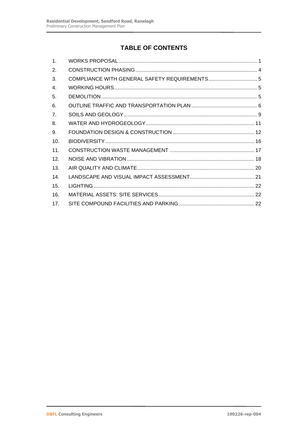# **TABLE OF CONTENTS**

| $\mathbf 1$ .   |  |
|-----------------|--|
| 2.              |  |
| 3.              |  |
| $\mathbf{4}$    |  |
| 5.              |  |
| 6.              |  |
| 7.              |  |
| 8.              |  |
| 9.              |  |
| 10.             |  |
| 11.             |  |
| 12 <sub>1</sub> |  |
| 13.             |  |
| 14.             |  |
| 15.             |  |
| 16.             |  |
| 17.             |  |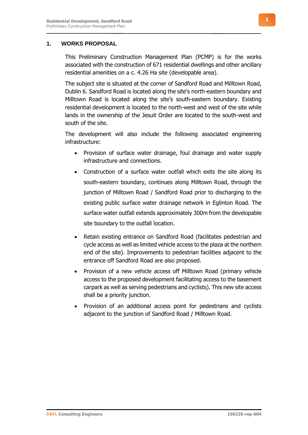# **1. WORKS PROPOSAL**

 $\overline{a}$ 

This Preliminary Construction Management Plan (PCMP) is for the works associated with the construction of 671 residential dwellings and other ancillary residential amenities on a c. 4.26 Ha site (developable area).

The subject site is situated at the corner of Sandford Road and Milltown Road, Dublin 6. Sandford Road is located along the site's north-eastern boundary and Milltown Road is located along the site's south-eastern boundary. Existing residential development is located to the north-west and west of the site while lands in the ownership of the Jesuit Order are located to the south-west and south of the site.

The development will also include the following associated engineering infrastructure:

- Provision of surface water drainage, foul drainage and water supply infrastructure and connections.
- Construction of a surface water outfall which exits the site along its south-eastern boundary, continues along Milltown Road, through the junction of Milltown Road / Sandford Road prior to discharging to the existing public surface water drainage network in Eglinton Road. The surface water outfall extends approximately 300m from the developable site boundary to the outfall location.
- Retain existing entrance on Sandford Road (facilitates pedestrian and cycle access as well as limited vehicle access to the plaza at the northern end of the site). Improvements to pedestrian facilities adjacent to the entrance off Sandford Road are also proposed.
- Provision of a new vehicle access off Milltown Road (primary vehicle access to the proposed development facilitating access to the basement carpark as well as serving pedestrians and cyclists). This new site access shall be a priority junction.
- Provision of an additional access point for pedestrians and cyclists adjacent to the junction of Sandford Road / Milltown Road.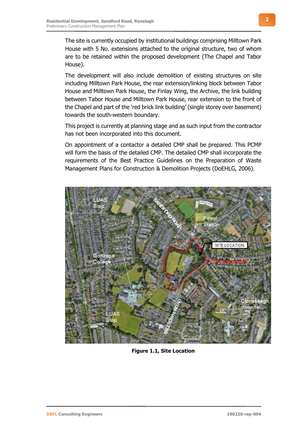The site is currently occupied by institutional buildings comprising Milltown Park House with 5 No. extensions attached to the original structure, two of whom are to be retained within the proposed development (The Chapel and Tabor House).

The development will also include demolition of existing structures on site including Milltown Park House, the rear extension/linking block between Tabor House and Milltown Park House, the Finlay Wing, the Archive, the link building between Tabor House and Milltown Park House, rear extension to the front of the Chapel and part of the 'red brick link building' (single storey over basement) towards the south-western boundary.

This project is currently at planning stage and as such input from the contractor has not been incorporated into this document.

On appointment of a contactor a detailed CMP shall be prepared. This PCMP will form the basis of the detailed CMP. The detailed CMP shall incorporate the requirements of the Best Practice Guidelines on the Preparation of Waste Management Plans for Construction & Demolition Projects (DoEHLG, 2006).



**Figure 1.1, Site Location**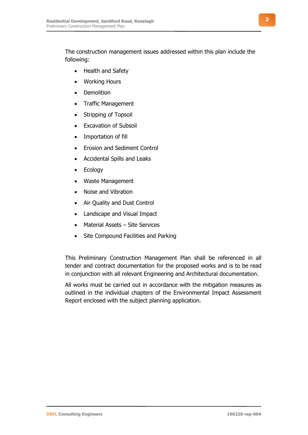The construction management issues addressed within this plan include the following:

- Health and Safety
- Working Hours
- **Demolition**
- Traffic Management
- Stripping of Topsoil
- **Excavation of Subsoil**
- Importation of fill
- Erosion and Sediment Control
- Accidental Spills and Leaks
- **Ecology**
- Waste Management
- Noise and Vibration
- Air Quality and Dust Control
- Landscape and Visual Impact
- Material Assets Site Services
- Site Compound Facilities and Parking

This Preliminary Construction Management Plan shall be referenced in all tender and contract documentation for the proposed works and is to be read in conjunction with all relevant Engineering and Architectural documentation.

All works must be carried out in accordance with the mitigation measures as outlined in the individual chapters of the Environmental Impact Assessment Report enclosed with the subject planning application.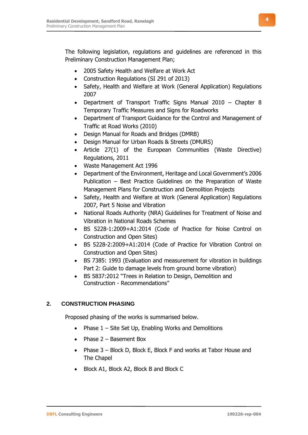The following legislation, regulations and guidelines are referenced in this Preliminary Construction Management Plan;

- 2005 Safety Health and Welfare at Work Act
- Construction Regulations (SI 291 of 2013)
- Safety, Health and Welfare at Work (General Application) Regulations 2007
- Department of Transport Traffic Signs Manual 2010 Chapter 8 Temporary Traffic Measures and Signs for Roadworks
- Department of Transport Guidance for the Control and Management of Traffic at Road Works (2010)
- Design Manual for Roads and Bridges (DMRB)
- Design Manual for Urban Roads & Streets (DMURS)
- Article 27(1) of the European Communities (Waste Directive) Regulations, 2011
- Waste Management Act 1996
- Department of the Environment, Heritage and Local Government's 2006 Publication – Best Practice Guidelines on the Preparation of Waste Management Plans for Construction and Demolition Projects
- Safety, Health and Welfare at Work (General Application) Regulations 2007, Part 5 Noise and Vibration
- National Roads Authority (NRA) Guidelines for Treatment of Noise and Vibration in National Roads Schemes
- BS 5228-1:2009+A1:2014 (Code of Practice for Noise Control on Construction and Open Sites)
- BS 5228-2:2009+A1:2014 (Code of Practice for Vibration Control on Construction and Open Sites)
- BS 7385: 1993 (Evaluation and measurement for vibration in buildings Part 2: Guide to damage levels from ground borne vibration)
- BS 5837:2012 "Trees in Relation to Design, Demolition and Construction - Recommendations"

# **2. CONSTRUCTION PHASING**

Proposed phasing of the works is summarised below.

- Phase  $1$  Site Set Up, Enabling Works and Demolitions
- Phase  $2 -$  Basement Box
- Phase 3 Block D, Block E, Block F and works at Tabor House and The Chapel
- Block A1, Block A2, Block B and Block C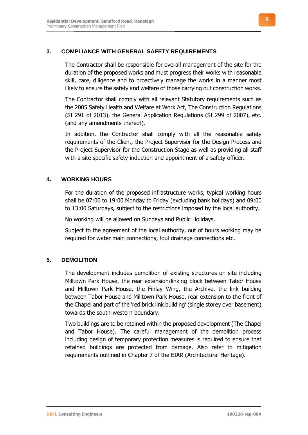## **3. COMPLIANCE WITH GENERAL SAFETY REQUIREMENTS**

The Contractor shall be responsible for overall management of the site for the duration of the proposed works and must progress their works with reasonable skill, care, diligence and to proactively manage the works in a manner most likely to ensure the safety and welfare of those carrying out construction works.

The Contractor shall comply with all relevant Statutory requirements such as the 2005 Safety Health and Welfare at Work Act, The Construction Regulations (SI 291 of 2013), the General Application Regulations (SI 299 of 2007), etc. (and any amendments thereof).

In addition, the Contractor shall comply with all the reasonable safety requirements of the Client, the Project Supervisor for the Design Process and the Project Supervisor for the Construction Stage as well as providing all staff with a site specific safety induction and appointment of a safety officer.

#### **4. WORKING HOURS**

For the duration of the proposed infrastructure works, typical working hours shall be 07:00 to 19:00 Monday to Friday (excluding bank holidays) and 09:00 to 13:00 Saturdays, subject to the restrictions imposed by the local authority.

No working will be allowed on Sundays and Public Holidays.

Subject to the agreement of the local authority, out of hours working may be required for water main connections, foul drainage connections etc.

#### **5. DEMOLITION**

The development includes demolition of existing structures on site including Milltown Park House, the rear extension/linking block between Tabor House and Milltown Park House, the Finlay Wing, the Archive, the link building between Tabor House and Milltown Park House, rear extension to the front of the Chapel and part of the 'red brick link building' (single storey over basement) towards the south-western boundary.

Two buildings are to be retained within the proposed development (The Chapel and Tabor House). The careful management of the demolition process including design of temporary protection measures is required to ensure that retained buildings are protected from damage. Also refer to mitigation requirements outlined in Chapter 7 of the EIAR (Architectural Heritage).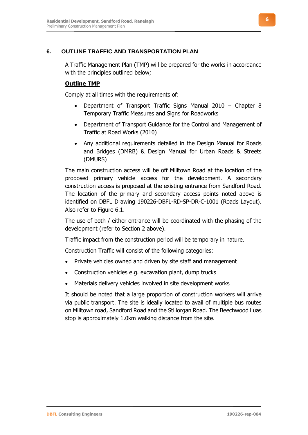# **6. OUTLINE TRAFFIC AND TRANSPORTATION PLAN**

A Traffic Management Plan (TMP) will be prepared for the works in accordance with the principles outlined below;

#### **Outline TMP**

Comply at all times with the requirements of:

- Department of Transport Traffic Signs Manual 2010 Chapter 8 Temporary Traffic Measures and Signs for Roadworks
- Department of Transport Guidance for the Control and Management of Traffic at Road Works (2010)
- Any additional requirements detailed in the Design Manual for Roads and Bridges (DMRB) & Design Manual for Urban Roads & Streets (DMURS)

The main construction access will be off Milltown Road at the location of the proposed primary vehicle access for the development. A secondary construction access is proposed at the existing entrance from Sandford Road. The location of the primary and secondary access points noted above is identified on DBFL Drawing 190226-DBFL-RD-SP-DR-C-1001 (Roads Layout). Also refer to Figure 6.1.

The use of both / either entrance will be coordinated with the phasing of the development (refer to Section 2 above).

Traffic impact from the construction period will be temporary in nature.

Construction Traffic will consist of the following categories:

- Private vehicles owned and driven by site staff and management
- Construction vehicles e.g. excavation plant, dump trucks
- Materials delivery vehicles involved in site development works

It should be noted that a large proportion of construction workers will arrive via public transport. The site is ideally located to avail of multiple bus routes on Milltown road, Sandford Road and the Stillorgan Road. The Beechwood Luas stop is approximately 1.0km walking distance from the site.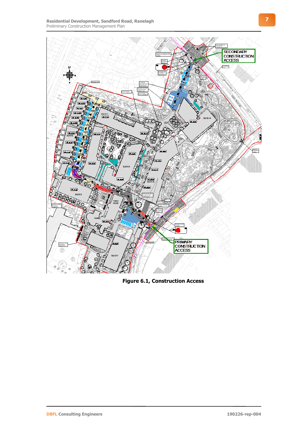

**Figure 6.1, Construction Access**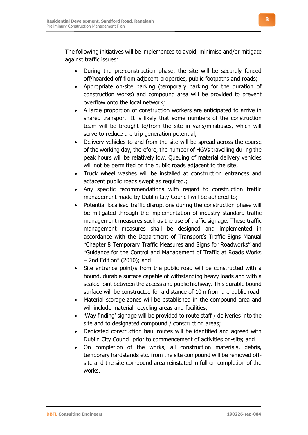The following initiatives will be implemented to avoid, minimise and/or mitigate against traffic issues:

- During the pre-construction phase, the site will be securely fenced off/hoarded off from adjacent properties, public footpaths and roads;
- Appropriate on-site parking (temporary parking for the duration of construction works) and compound area will be provided to prevent overflow onto the local network;
- A large proportion of construction workers are anticipated to arrive in shared transport. It is likely that some numbers of the construction team will be brought to/from the site in vans/minibuses, which will serve to reduce the trip generation potential;
- Delivery vehicles to and from the site will be spread across the course of the working day, therefore, the number of HGVs travelling during the peak hours will be relatively low. Queuing of material delivery vehicles will not be permitted on the public roads adjacent to the site;
- Truck wheel washes will be installed at construction entrances and adjacent public roads swept as required.;
- Any specific recommendations with regard to construction traffic management made by Dublin City Council will be adhered to;
- Potential localised traffic disruptions during the construction phase will be mitigated through the implementation of industry standard traffic management measures such as the use of traffic signage. These traffic management measures shall be designed and implemented in accordance with the Department of Transport's Traffic Signs Manual "Chapter 8 Temporary Traffic Measures and Signs for Roadworks" and "Guidance for the Control and Management of Traffic at Roads Works – 2nd Edition" (2010); and
- Site entrance point/s from the public road will be constructed with a bound, durable surface capable of withstanding heavy loads and with a sealed joint between the access and public highway. This durable bound surface will be constructed for a distance of 10m from the public road.
- Material storage zones will be established in the compound area and will include material recycling areas and facilities;
- 'Way finding' signage will be provided to route staff / deliveries into the site and to designated compound / construction areas;
- Dedicated construction haul routes will be identified and agreed with Dublin City Council prior to commencement of activities on-site; and
- On completion of the works, all construction materials, debris, temporary hardstands etc. from the site compound will be removed offsite and the site compound area reinstated in full on completion of the works.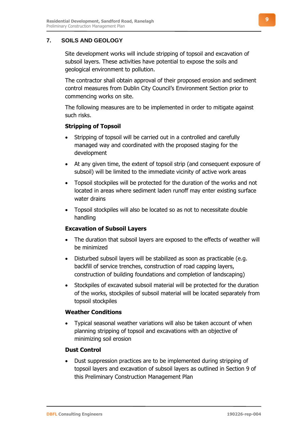# **7. SOILS AND GEOLOGY**

Site development works will include stripping of topsoil and excavation of subsoil layers. These activities have potential to expose the soils and geological environment to pollution.

The contractor shall obtain approval of their proposed erosion and sediment control measures from Dublin City Council's Environment Section prior to commencing works on site.

The following measures are to be implemented in order to mitigate against such risks.

# **Stripping of Topsoil**

- Stripping of topsoil will be carried out in a controlled and carefully managed way and coordinated with the proposed staging for the development
- At any given time, the extent of topsoil strip (and consequent exposure of subsoil) will be limited to the immediate vicinity of active work areas
- Topsoil stockpiles will be protected for the duration of the works and not located in areas where sediment laden runoff may enter existing surface water drains
- Topsoil stockpiles will also be located so as not to necessitate double handling

# **Excavation of Subsoil Layers**

- The duration that subsoil layers are exposed to the effects of weather will be minimized
- Disturbed subsoil layers will be stabilized as soon as practicable (e.g. backfill of service trenches, construction of road capping layers, construction of building foundations and completion of landscaping)
- Stockpiles of excavated subsoil material will be protected for the duration of the works, stockpiles of subsoil material will be located separately from topsoil stockpiles

#### **Weather Conditions**

• Typical seasonal weather variations will also be taken account of when planning stripping of topsoil and excavations with an objective of minimizing soil erosion

#### **Dust Control**

• Dust suppression practices are to be implemented during stripping of topsoil layers and excavation of subsoil layers as outlined in Section 9 of this Preliminary Construction Management Plan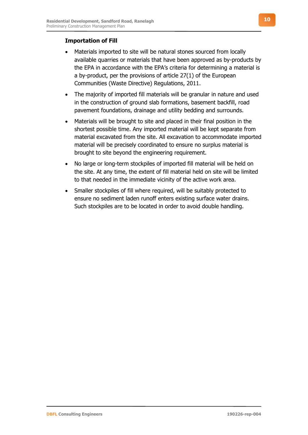# **Importation of Fill**

- Materials imported to site will be natural stones sourced from locally available quarries or materials that have been approved as by-products by the EPA in accordance with the EPA's criteria for determining a material is a by-product, per the provisions of article 27(1) of the European Communities (Waste Directive) Regulations, 2011.
- The majority of imported fill materials will be granular in nature and used in the construction of ground slab formations, basement backfill, road pavement foundations, drainage and utility bedding and surrounds.
- Materials will be brought to site and placed in their final position in the shortest possible time. Any imported material will be kept separate from material excavated from the site. All excavation to accommodate imported material will be precisely coordinated to ensure no surplus material is brought to site beyond the engineering requirement.
- No large or long-term stockpiles of imported fill material will be held on the site. At any time, the extent of fill material held on site will be limited to that needed in the immediate vicinity of the active work area.
- Smaller stockpiles of fill where required, will be suitably protected to ensure no sediment laden runoff enters existing surface water drains. Such stockpiles are to be located in order to avoid double handling.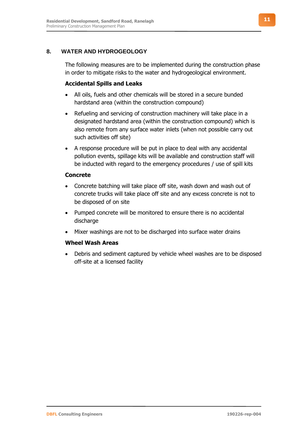# **8. WATER AND HYDROGEOLOGY**

The following measures are to be implemented during the construction phase in order to mitigate risks to the water and hydrogeological environment.

# **Accidental Spills and Leaks**

- All oils, fuels and other chemicals will be stored in a secure bunded hardstand area (within the construction compound)
- Refueling and servicing of construction machinery will take place in a designated hardstand area (within the construction compound) which is also remote from any surface water inlets (when not possible carry out such activities off site)
- A response procedure will be put in place to deal with any accidental pollution events, spillage kits will be available and construction staff will be inducted with regard to the emergency procedures / use of spill kits

# **Concrete**

- Concrete batching will take place off site, wash down and wash out of concrete trucks will take place off site and any excess concrete is not to be disposed of on site
- Pumped concrete will be monitored to ensure there is no accidental discharge
- Mixer washings are not to be discharged into surface water drains

# **Wheel Wash Areas**

• Debris and sediment captured by vehicle wheel washes are to be disposed off-site at a licensed facility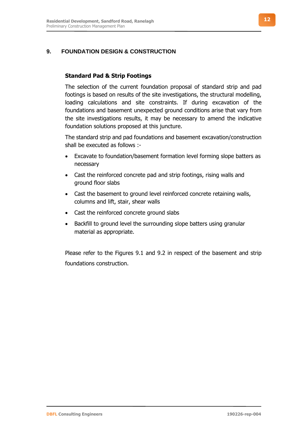# **9. FOUNDATION DESIGN & CONSTRUCTION**

#### **Standard Pad & Strip Footings**

The selection of the current foundation proposal of standard strip and pad footings is based on results of the site investigations, the structural modelling, loading calculations and site constraints. If during excavation of the foundations and basement unexpected ground conditions arise that vary from the site investigations results, it may be necessary to amend the indicative foundation solutions proposed at this juncture.

The standard strip and pad foundations and basement excavation/construction shall be executed as follows :-

- Excavate to foundation/basement formation level forming slope batters as necessary
- Cast the reinforced concrete pad and strip footings, rising walls and ground floor slabs
- Cast the basement to ground level reinforced concrete retaining walls, columns and lift, stair, shear walls
- Cast the reinforced concrete ground slabs
- Backfill to ground level the surrounding slope batters using granular material as appropriate.

Please refer to the Figures 9.1 and 9.2 in respect of the basement and strip foundations construction.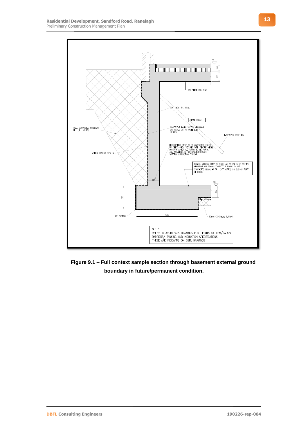

**Figure 9.1 – Full context sample section through basement external ground boundary in future/permanent condition.**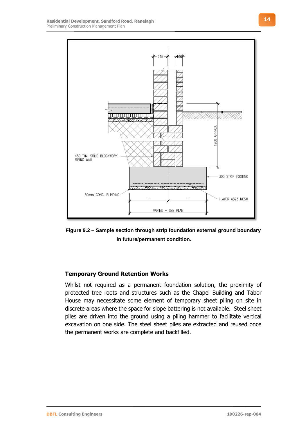

**Figure 9.2 – Sample section through strip foundation external ground boundary in future/permanent condition.**

# **Temporary Ground Retention Works**

Whilst not required as a permanent foundation solution, the proximity of protected tree roots and structures such as the Chapel Building and Tabor House may necessitate some element of temporary sheet piling on site in discrete areas where the space for slope battering is not available. Steel sheet piles are driven into the ground using a piling hammer to facilitate vertical excavation on one side. The steel sheet piles are extracted and reused once the permanent works are complete and backfilled.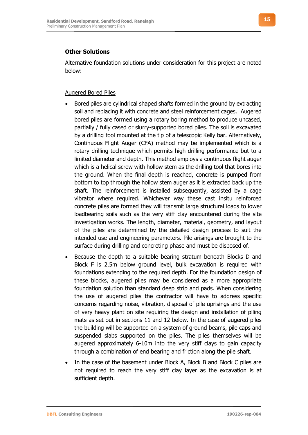# **Other Solutions**

Alternative foundation solutions under consideration for this project are noted below:

#### Augered Bored Piles

- Bored piles are cylindrical shaped shafts formed in the ground by extracting soil and replacing it with concrete and steel reinforcement cages. Augered bored piles are formed using a rotary boring method to produce uncased, partially / fully cased or slurry-supported bored piles. The soil is excavated by a drilling tool mounted at the tip of a telescopic Kelly bar. Alternatively, Continuous Flight Auger (CFA) method may be implemented which is a rotary drilling technique which permits high drilling performance but to a limited diameter and depth. This method employs a continuous flight auger which is a helical screw with hollow stem as the drilling tool that bores into the ground. When the final depth is reached, concrete is pumped from bottom to top through the hollow stem auger as it is extracted back up the shaft. The reinforcement is installed subsequently, assisted by a cage vibrator where required. Whichever way these cast insitu reinforced concrete piles are formed they will transmit large structural loads to lower loadbearing soils such as the very stiff clay encountered during the site investigation works. The length, diameter, material, geometry, and layout of the piles are determined by the detailed design process to suit the intended use and engineering parameters. Pile arisings are brought to the surface during drilling and concreting phase and must be disposed of.
- Because the depth to a suitable bearing stratum beneath Blocks D and Block F is 2.5m below ground level, bulk excavation is required with foundations extending to the required depth. For the foundation design of these blocks, augered piles may be considered as a more appropriate foundation solution than standard deep strip and pads. When considering the use of augered piles the contractor will have to address specific concerns regarding noise, vibration, disposal of pile uprisings and the use of very heavy plant on site requiring the design and installation of piling mats as set out in sections [11](#page-19-0) and [12 below.](#page-20-0) In the case of augered piles the building will be supported on a system of ground beams, pile caps and suspended slabs supported on the piles. The piles themselves will be augered approximately 6-10m into the very stiff clays to gain capacity through a combination of end bearing and friction along the pile shaft.
- In the case of the basement under Block A, Block B and Block C piles are not required to reach the very stiff clay layer as the excavation is at sufficient depth.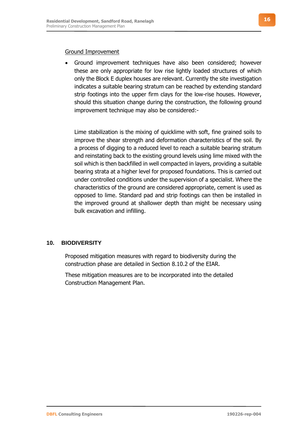#### Ground Improvement

• Ground improvement techniques have also been considered; however these are only appropriate for low rise lightly loaded structures of which only the Block E duplex houses are relevant. Currently the site investigation indicates a suitable bearing stratum can be reached by extending standard strip footings into the upper firm clays for the low-rise houses. However, should this situation change during the construction, the following ground improvement technique may also be considered:-

Lime stabilization is the mixing of quicklime with soft, fine grained soils to improve the shear strength and deformation characteristics of the soil. By a process of digging to a reduced level to reach a suitable bearing stratum and reinstating back to the existing ground levels using lime mixed with the soil which is then backfilled in well compacted in layers, providing a suitable bearing strata at a higher level for proposed foundations. This is carried out under controlled conditions under the supervision of a specialist. Where the characteristics of the ground are considered appropriate, cement is used as opposed to lime. Standard pad and strip footings can then be installed in the improved ground at shallower depth than might be necessary using bulk excavation and infilling.

# **10. BIODIVERSITY**

Proposed mitigation measures with regard to biodiversity during the construction phase are detailed in Section 8.10.2 of the EIAR.

These mitigation measures are to be incorporated into the detailed Construction Management Plan.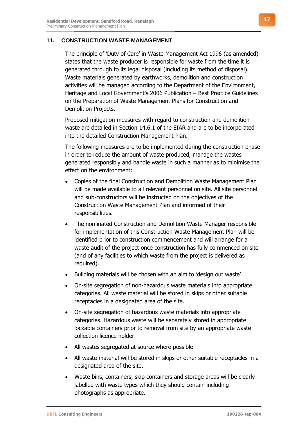#### <span id="page-19-0"></span>**11. CONSTRUCTION WASTE MANAGEMENT**

The principle of 'Duty of Care' in Waste Management Act 1996 (as amended) states that the waste producer is responsible for waste from the time it is generated through to its legal disposal (including its method of disposal). Waste materials generated by earthworks, demolition and construction activities will be managed according to the Department of the Environment, Heritage and Local Government's 2006 Publication – Best Practice Guidelines on the Preparation of Waste Management Plans for Construction and Demolition Projects.

Proposed mitigation measures with regard to construction and demolition waste are detailed in Section 14.6.1 of the EIAR and are to be incorporated into the detailed Construction Management Plan.

The following measures are to be implemented during the construction phase in order to reduce the amount of waste produced, manage the wastes generated responsibly and handle waste in such a manner as to minimise the effect on the environment:

- Copies of the final Construction and Demolition Waste Management Plan will be made available to all relevant personnel on site. All site personnel and sub-constructors will be instructed on the objectives of the Construction Waste Management Plan and informed of their responsibilities.
- The nominated Construction and Demolition Waste Manager responsible for implementation of this Construction Waste Management Plan will be identified prior to construction commencement and will arrange for a waste audit of the project once construction has fully commenced on site (and of any facilities to which waste from the project is delivered as required).
- Building materials will be chosen with an aim to 'design out waste'
- On-site segregation of non-hazardous waste materials into appropriate categories. All waste material will be stored in skips or other suitable receptacles in a designated area of the site.
- On-site segregation of hazardous waste materials into appropriate categories. Hazardous waste will be separately stored in appropriate lockable containers prior to removal from site by an appropriate waste collection licence holder.
- All wastes segregated at source where possible
- All waste material will be stored in skips or other suitable receptacles in a designated area of the site.
- Waste bins, containers, skip containers and storage areas will be clearly labelled with waste types which they should contain including photographs as appropriate.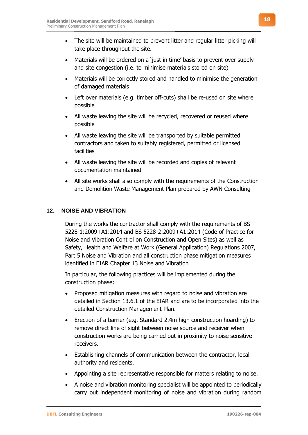- The site will be maintained to prevent litter and regular litter picking will take place throughout the site.
- Materials will be ordered on a 'just in time' basis to prevent over supply and site congestion (i.e. to minimise materials stored on site)
- Materials will be correctly stored and handled to minimise the generation of damaged materials
- Left over materials (e.g. timber off-cuts) shall be re-used on site where possible
- All waste leaving the site will be recycled, recovered or reused where possible
- All waste leaving the site will be transported by suitable permitted contractors and taken to suitably registered, permitted or licensed facilities
- All waste leaving the site will be recorded and copies of relevant documentation maintained
- All site works shall also comply with the requirements of the Construction and Demolition Waste Management Plan prepared by AWN Consulting

# <span id="page-20-0"></span>**12. NOISE AND VIBRATION**

During the works the contractor shall comply with the requirements of BS 5228-1:2009+A1:2014 and BS 5228-2:2009+A1:2014 (Code of Practice for Noise and Vibration Control on Construction and Open Sites) as well as Safety, Health and Welfare at Work (General Application) Regulations 2007, Part 5 Noise and Vibration and all construction phase mitigation measures identified in EIAR Chapter 13 Noise and Vibration

In particular, the following practices will be implemented during the construction phase:

- Proposed mitigation measures with regard to noise and vibration are detailed in Section 13.6.1 of the EIAR and are to be incorporated into the detailed Construction Management Plan.
- Erection of a barrier (e.g. Standard 2.4m high construction hoarding) to remove direct line of sight between noise source and receiver when construction works are being carried out in proximity to noise sensitive receivers.
- Establishing channels of communication between the contractor, local authority and residents.
- Appointing a site representative responsible for matters relating to noise.
- A noise and vibration monitoring specialist will be appointed to periodically carry out independent monitoring of noise and vibration during random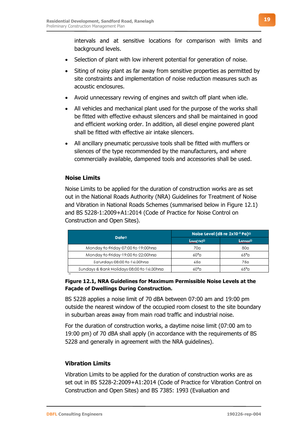intervals and at sensitive locations for comparison with limits and background levels.

- Selection of plant with low inherent potential for generation of noise.
- Siting of noisy plant as far away from sensitive properties as permitted by site constraints and implementation of noise reduction measures such as acoustic enclosures.
- Avoid unnecessary revving of engines and switch off plant when idle.
- All vehicles and mechanical plant used for the purpose of the works shall be fitted with effective exhaust silencers and shall be maintained in good and efficient working order. In addition, all diesel engine powered plant shall be fitted with effective air intake silencers.
- All ancillary pneumatic percussive tools shall be fitted with mufflers or silences of the type recommended by the manufacturers, and where commercially available, dampened tools and accessories shall be used.

# **Noise Limits**

Noise Limits to be applied for the duration of construction works are as set out in the National Roads Authority (NRA) Guidelines for Treatment of Noise and Vibration in National Roads Schemes (summarised below in Figure 12.1) and BS 5228-1:2009+A1:2014 (Code of Practice for Noise Control on Construction and Open Sites).

| Date¤                                      | Noise Level (dB re 2x10-5 Pa)a |                                        |  |
|--------------------------------------------|--------------------------------|----------------------------------------|--|
|                                            | $Laeg(1hr)$ <sup>O</sup>       | $L$ AFmax <sup><math>\Box</math></sup> |  |
| Monday to Friday 07:00 to 19:00hrsa        | 70o                            | 80a                                    |  |
| Monday to Friday 19:00 to 22:00hrsa        | 60*0                           | 65*α                                   |  |
| Saturdays 08:00 to 16:30hrsa               | 650                            | 750                                    |  |
| Sundays & Bank Holidays 08:00 to 16:30hrsa | 60*0                           | 65*a                                   |  |

# **Figure 12.1, NRA Guidelines for Maximum Permissible Noise Levels at the Façade of Dwellings During Construction.**

BS 5228 applies a noise limit of 70 dBA between 07:00 am and 19:00 pm outside the nearest window of the occupied room closest to the site boundary in suburban areas away from main road traffic and industrial noise.

For the duration of construction works, a daytime noise limit (07:00 am to 19:00 pm) of 70 dBA shall apply (in accordance with the requirements of BS 5228 and generally in agreement with the NRA guidelines).

# **Vibration Limits**

Vibration Limits to be applied for the duration of construction works are as set out in BS 5228-2:2009+A1:2014 (Code of Practice for Vibration Control on Construction and Open Sites) and BS 7385: 1993 (Evaluation and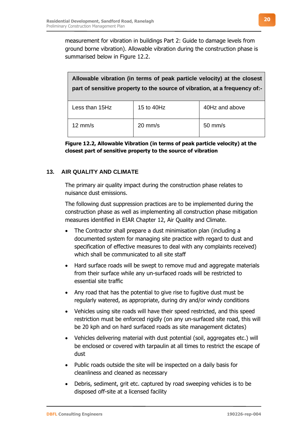measurement for vibration in buildings Part 2: Guide to damage levels from ground borne vibration). Allowable vibration during the construction phase is summarised below in Figure 12.2.

| Allowable vibration (in terms of peak particle velocity) at the closest<br>part of sensitive property to the source of vibration, at a frequency of:- |                   |                   |  |  |
|-------------------------------------------------------------------------------------------------------------------------------------------------------|-------------------|-------------------|--|--|
| Less than 15Hz                                                                                                                                        | 15 to 40Hz        | 40Hz and above    |  |  |
| $12 \text{ mm/s}$                                                                                                                                     | $20 \text{ mm/s}$ | $50 \text{ mm/s}$ |  |  |

**Figure 12.2, Allowable Vibration (in terms of peak particle velocity) at the closest part of sensitive property to the source of vibration**

# **13. AIR QUALITY AND CLIMATE**

The primary air quality impact during the construction phase relates to nuisance dust emissions.

The following dust suppression practices are to be implemented during the construction phase as well as implementing all construction phase mitigation measures identified in EIAR Chapter 12, Air Quality and Climate.

- The Contractor shall prepare a dust minimisation plan (including a documented system for managing site practice with regard to dust and specification of effective measures to deal with any complaints received) which shall be communicated to all site staff
- Hard surface roads will be swept to remove mud and aggregate materials from their surface while any un-surfaced roads will be restricted to essential site traffic
- Any road that has the potential to give rise to fugitive dust must be regularly watered, as appropriate, during dry and/or windy conditions
- Vehicles using site roads will have their speed restricted, and this speed restriction must be enforced rigidly (on any un-surfaced site road, this will be 20 kph and on hard surfaced roads as site management dictates)
- Vehicles delivering material with dust potential (soil, aggregates etc.) will be enclosed or covered with tarpaulin at all times to restrict the escape of dust
- Public roads outside the site will be inspected on a daily basis for cleanliness and cleaned as necessary
- Debris, sediment, grit etc. captured by road sweeping vehicles is to be disposed off-site at a licensed facility

**20**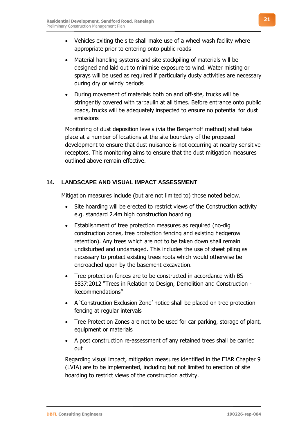- Vehicles exiting the site shall make use of a wheel wash facility where appropriate prior to entering onto public roads
- Material handling systems and site stockpiling of materials will be designed and laid out to minimise exposure to wind. Water misting or sprays will be used as required if particularly dusty activities are necessary during dry or windy periods
- During movement of materials both on and off-site, trucks will be stringently covered with tarpaulin at all times. Before entrance onto public roads, trucks will be adequately inspected to ensure no potential for dust emissions

Monitoring of dust deposition levels (via the Bergerhoff method) shall take place at a number of locations at the site boundary of the proposed development to ensure that dust nuisance is not occurring at nearby sensitive receptors. This monitoring aims to ensure that the dust mitigation measures outlined above remain effective.

# **14. LANDSCAPE AND VISUAL IMPACT ASSESSMENT**

Mitigation measures include (but are not limited to) those noted below.

- Site hoarding will be erected to restrict views of the Construction activity e.g. standard 2.4m high construction hoarding
- Establishment of tree protection measures as required (no-dig construction zones, tree protection fencing and existing hedgerow retention). Any trees which are not to be taken down shall remain undisturbed and undamaged. This includes the use of sheet piling as necessary to protect existing trees roots which would otherwise be encroached upon by the basement excavation.
- Tree protection fences are to be constructed in accordance with BS 5837:2012 "Trees in Relation to Design, Demolition and Construction - Recommendations"
- A 'Construction Exclusion Zone' notice shall be placed on tree protection fencing at regular intervals
- Tree Protection Zones are not to be used for car parking, storage of plant, equipment or materials
- A post construction re-assessment of any retained trees shall be carried out

Regarding visual impact, mitigation measures identified in the EIAR Chapter 9 (LVIA) are to be implemented, including but not limited to erection of site hoarding to restrict views of the construction activity.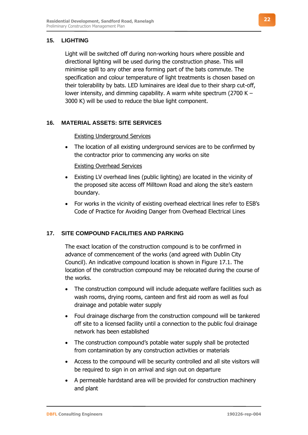# **15. LIGHTING**

Light will be switched off during non-working hours where possible and directional lighting will be used during the construction phase. This will minimise spill to any other area forming part of the bats commute. The specification and colour temperature of light treatments is chosen based on their tolerability by bats. LED luminaires are ideal due to their sharp cut-off, lower intensity, and dimming capability. A warm white spectrum (2700 K – 3000 K) will be used to reduce the blue light component.

# **16. MATERIAL ASSETS: SITE SERVICES**

#### Existing Underground Services

The location of all existing underground services are to be confirmed by the contractor prior to commencing any works on site

#### Existing Overhead Services

- Existing LV overhead lines (public lighting) are located in the vicinity of the proposed site access off Milltown Road and along the site's eastern boundary.
- For works in the vicinity of existing overhead electrical lines refer to ESB's Code of Practice for Avoiding Danger from Overhead Electrical Lines

# **17. SITE COMPOUND FACILITIES AND PARKING**

The exact location of the construction compound is to be confirmed in advance of commencement of the works (and agreed with Dublin City Council). An indicative compound location is shown in Figure 17.1. The location of the construction compound may be relocated during the course of the works.

- The construction compound will include adequate welfare facilities such as wash rooms, drying rooms, canteen and first aid room as well as foul drainage and potable water supply
- Foul drainage discharge from the construction compound will be tankered off site to a licensed facility until a connection to the public foul drainage network has been established
- The construction compound's potable water supply shall be protected from contamination by any construction activities or materials
- Access to the compound will be security controlled and all site visitors will be required to sign in on arrival and sign out on departure
- A permeable hardstand area will be provided for construction machinery and plant